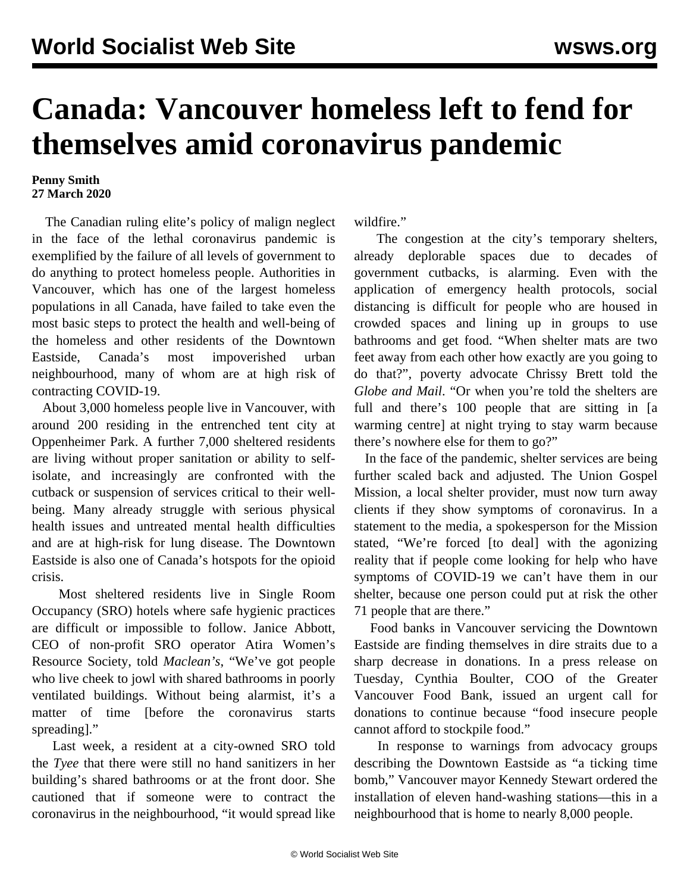## **Canada: Vancouver homeless left to fend for themselves amid coronavirus pandemic**

## **Penny Smith 27 March 2020**

 The Canadian ruling elite's policy of malign neglect in the face of the lethal coronavirus pandemic is exemplified by the failure of all levels of government to do anything to protect homeless people. Authorities in Vancouver, which has one of the largest homeless populations in all Canada, have failed to take even the most basic steps to protect the health and well-being of the homeless and other residents of the Downtown Eastside, Canada's most impoverished urban neighbourhood, many of whom are at high risk of contracting COVID-19.

 About 3,000 homeless people live in Vancouver, with around 200 residing in the entrenched tent city at Oppenheimer Park. A further 7,000 sheltered residents are living without proper sanitation or ability to selfisolate, and increasingly are confronted with the cutback or suspension of services critical to their wellbeing. Many already struggle with serious physical health issues and untreated mental health difficulties and are at high-risk for lung disease. The Downtown Eastside is also one of Canada's hotspots for the opioid crisis.

 Most sheltered residents live in Single Room Occupancy (SRO) hotels where safe hygienic practices are difficult or impossible to follow. Janice Abbott, CEO of non-profit SRO operator Atira Women's Resource Society, told *Maclean's*, "We've got people who live cheek to jowl with shared bathrooms in poorly ventilated buildings. Without being alarmist, it's a matter of time [before the coronavirus starts spreading]."

 Last week, a resident at a city-owned SRO told the *Tyee* that there were still no hand sanitizers in her building's shared bathrooms or at the front door. She cautioned that if someone were to contract the coronavirus in the neighbourhood, "it would spread like wildfire."

 The congestion at the city's temporary shelters, already deplorable spaces due to decades of government cutbacks, is alarming. Even with the application of emergency health protocols, social distancing is difficult for people who are housed in crowded spaces and lining up in groups to use bathrooms and get food. "When shelter mats are two feet away from each other how exactly are you going to do that?", poverty advocate Chrissy Brett told the *Globe and Mail*. "Or when you're told the shelters are full and there's 100 people that are sitting in [a warming centre] at night trying to stay warm because there's nowhere else for them to go?"

 In the face of the pandemic, shelter services are being further scaled back and adjusted. The Union Gospel Mission, a local shelter provider, must now turn away clients if they show symptoms of coronavirus. In a statement to the media, a spokesperson for the Mission stated, "We're forced [to deal] with the agonizing reality that if people come looking for help who have symptoms of COVID-19 we can't have them in our shelter, because one person could put at risk the other 71 people that are there."

 Food banks in Vancouver servicing the Downtown Eastside are finding themselves in dire straits due to a sharp decrease in donations. In a press release on Tuesday, Cynthia Boulter, COO of the Greater Vancouver Food Bank, issued an urgent call for donations to continue because "food insecure people cannot afford to stockpile food."

 In response to warnings from advocacy groups describing the Downtown Eastside as "a ticking time bomb," Vancouver mayor Kennedy Stewart ordered the installation of eleven hand-washing stations—this in a neighbourhood that is home to nearly 8,000 people.